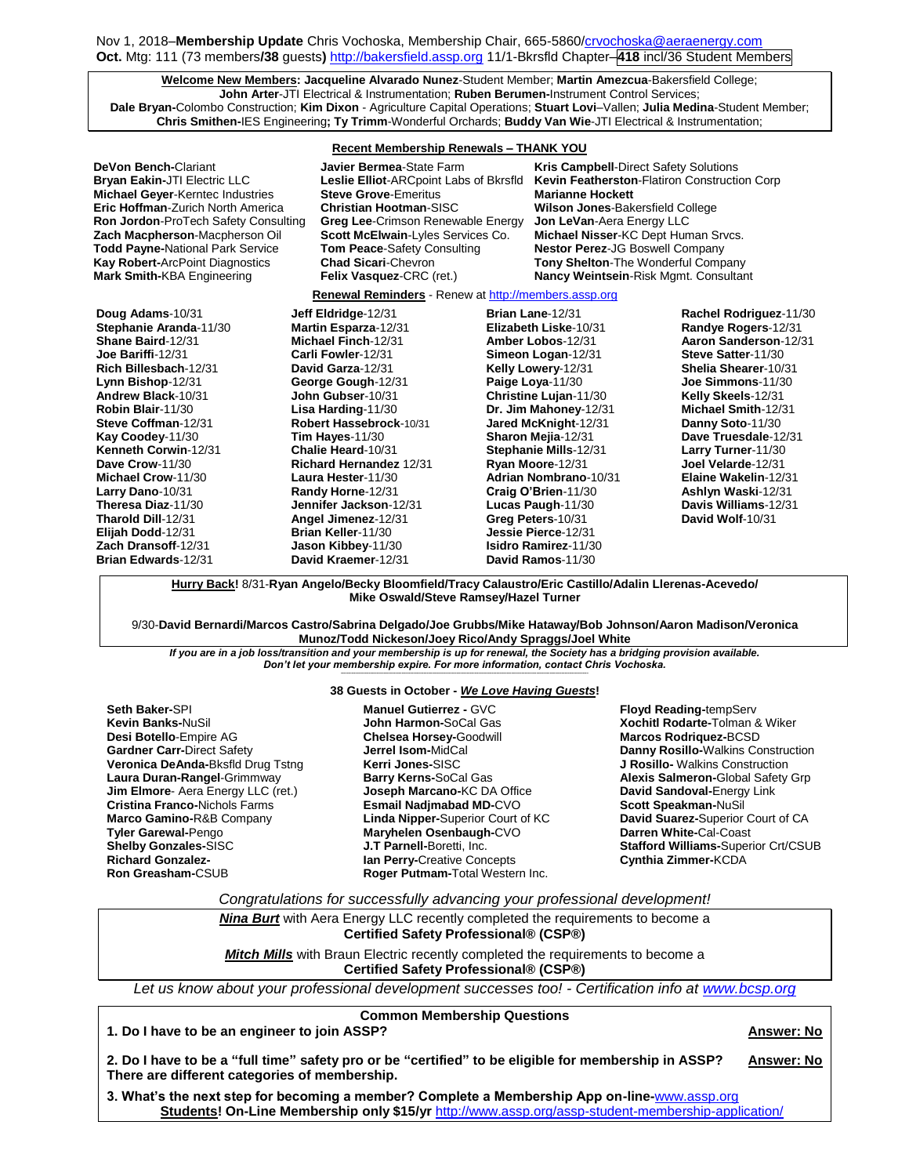# Nov 1, 2018–**Membership Update** Chris Vochoska, Membership Chair, 665-5860[/crvochoska@aeraenergy.com](mailto:crvochoska@aeraenergy.com) **Oct.** Mtg: 111 (73 members**/38** guests**)** [http://bakersfield.assp.org](http://bakersfield.assp.org/) 11/1-Bkrsfld Chapter–**418** incl/36 Student Members

**Welcome New Members: Jacqueline Alvarado Nunez**-Student Member; **Martin Amezcua**-Bakersfield College; **John Arter**-JTI Electrical & Instrumentation; **Ruben Berumen-**Instrument Control Services; **Dale Bryan-**Colombo Construction; **Kim Dixon** - Agriculture Capital Operations; **Stuart Lovi**–Vallen; **Julia Medina**-Student Member; **Chris Smithen-**IES Engineering**; Ty Trimm**-Wonderful Orchards; **Buddy Van Wie**-JTI Electrical & Instrumentation;

## **Recent Membership Renewals – THANK YOU**

**DeVon Bench-**Clariant **Javier Bermea**-State Farm **Kris Campbell**-Direct Safety Solutions **Bryan Eakin-**JTI Electric LLC **Leslie Elliot**-ARCpoint Labs of Bkrsfld **Kevin Featherston**-Flatiron Construction Corp **Michael Geyer**-Kerntec Industries **Steve Grove**-Emeritus **Marianne Hockett Eric Hoffman**-Zurich North America **Christian Hootman**-SISC **Wilson Jones**-Bakersfield College **Ron Jordon**-ProTech Safety Consulting **Greg Lee**-Crimson Renewable Energy **Jon LeVan**-Aera Energy LLC **Zach Macpherson**-Macpherson Oil **Scott McElwain**-Lyles Services Co. **Michael Nisser**-KC Dept Human Srvcs. **Todd Payne-National Park Service <b>Tom Peace-Safety Consulting Constant Park Service Perez-JG Boswell Company Kay Robert-ArcPoint Diagnostics Chad Sicari-Chevron <b>Tony Shelton-The Wonderful Company** 

**Chad Sicari-Chevron <b>Tony Shelton-**The Wonderful Company **Mark Smith-**KBA Engineering **Felix Vasquez**-CRC (ret.) **Nancy Weintsein**-Risk Mgmt. Consultant

## **Renewal Reminders** - Renew a[t http://members.assp.org](http://members.assp.org/)

**Doug Adams**-10/31 **Stephanie Aranda**-11/30 **Shane Baird**-12/31 **Joe Bariffi**-12/31 **Rich Billesbach**-12/31 **Lynn Bishop**-12/31 **Andrew Black**-10/31 **Robin Blair**-11/30 **Steve Coffman**-12/31 **Kay Coodey**-11/30 **Kenneth Corwin**-12/31 **Dave Crow**-11/30 **Michael Crow**-11/30 **Larry Dano**-10/31 **Theresa Diaz**-11/30 **Tharold Dill**-12/31 **Elijah Dodd**-12/31 **Zach Dransoff**-12/31 **Brian Edwards**-12/31

**Jeff Eldridge**-12/31 **Martin Esparza**-12/31 **Michael Finch**-12/31 **Carli Fowler**-12/31 **David Garza**-12/31 **George Gough**-12/31 **John Gubser**-10/31 **Lisa Harding**-11/30 **Robert Hassebrock**-10/31 **Tim Hayes**-11/30 **Chalie Heard**-10/31 **Richard Hernandez** 12/31 **Laura Hester**-11/30 **Randy Horne**-12/31 **Jennifer Jackson**-12/31 **Angel Jimenez**-12/31 **Brian Keller**-11/30 **Jason Kibbey**-11/30 **David Kraemer**-12/31

**Brian Lane**-12/31 **Elizabeth Liske**-10/31 **Amber Lobos**-12/31 **Simeon Logan**-12/31 **Kelly Lowery**-12/31 **Paige Loya**-11/30 **Christine Lujan**-11/30 **Dr. Jim Mahoney**-12/31 **Jared McKnight**-12/31 **Sharon Mejia**-12/31 **Stephanie Mills**-12/31 **Ryan Moore**-12/31 **Adrian Nombrano**-10/31 **Craig O'Brien**-11/30 **Lucas Paugh**-11/30 **Greg Peters**-10/31 **Jessie Pierce**-12/31 **Isidro Ramirez**-11/30 **David Ramos**-11/30

**Rachel Rodriguez**-11/30 **Randye Rogers**-12/31 **Aaron Sanderson**-12/31 **Steve Satter**-11/30 **Shelia Shearer**-10/31 **Joe Simmons**-11/30 **Kelly Skeels**-12/31 **Michael Smith**-12/31 **Danny Soto**-11/30 **Dave Truesdale**-12/31 **Larry Turner**-11/30 **Joel Velarde**-12/31 **Elaine Wakelin**-12/31 **Ashlyn Waski**-12/31 **Davis Williams**-12/31 **David Wolf**-10/31

**Hurry Back!** 8/31-**Ryan Angelo/Becky Bloomfield/Tracy Calaustro/Eric Castillo/Adalin Llerenas-Acevedo/ Mike Oswald/Steve Ramsey/Hazel Turner**

9/30-**David Bernardi/Marcos Castro/Sabrina Delgado/Joe Grubbs/Mike Hataway/Bob Johnson/Aaron Madison/Veronica Munoz/Todd Nickeson/Joey Rico/Andy Spraggs/Joel White**

*If you are in a job loss/transition and your membership is up for renewal, the Society has a bridging provision available. Don't let your membership expire. For more information, contact Chris Vochoska.*  **-----------------------------------------------------------------------------------------------------------------------------------------------------------------------**

### **38 Guests in October -** *We Love Having Guests***!**

**Manuel Gutierrez -** GVC

**Seth Baker-**SPI **Kevin Banks-**NuSil **Desi Botello**-Empire AG **Gardner Carr-**Direct Safety **Veronica DeAnda-**Bksfld Drug Tstng **Laura Duran-Rangel**-Grimmway **Jim Elmore**- Aera Energy LLC (ret.) **Cristina Franco-**Nichols Farms **Marco Gamino-**R&B Company **Tyler Garewal-**Pengo **Shelby Gonzales-**SISC **Richard Gonzalez-Ron Greasham-**CSUB

**John Harmon-**SoCal Gas **Chelsea Horsey-**Goodwill **Jerrel Isom-**MidCal **Kerri Jones-**SISC **Barry Kerns-**SoCal Gas **Joseph Marcano-**KC DA Office **Esmail Nadjmabad MD-**CVO **Linda Nipper-**Superior Court of KC **Maryhelen Osenbaugh-**CVO **J.T Parnell-**Boretti, Inc. **Ian Perry-**Creative Concepts **Roger Putmam-**Total Western Inc.

**Floyd Reading-**tempServ **Xochitl Rodarte-**Tolman & Wiker **Marcos Rodriquez-**BCSD **Danny Rosillo-**Walkins Construction **J Rosillo-** Walkins Construction **Alexis Salmeron-**Global Safety Grp **David Sandoval-**Energy Link **Scott Speakman-**NuSil **David Suarez-**Superior Court of CA **Darren White-**Cal-Coast **Stafford Williams-**Superior Crt/CSUB **Cynthia Zimmer-**KCDA

*Congratulations for successfully advancing your professional development!*

*Nina Burt* with Aera Energy LLC recently completed the requirements to become a **Certified Safety Professional® (CSP®)**

**Mitch Mills** with Braun Electric recently completed the requirements to become a **Certified Safety Professional® (CSP®)**

*Let us know about your professional development successes too! - Certification info at [www.bcsp.org](http://www.bcsp.org/)*

## **Common Membership Questions**

**1. Do I have to be an engineer to join ASSP? Answer: No**

**2. Do I have to be a "full time" safety pro or be "certified" to be eligible for membership in ASSP? Answer: No There are different categories of membership.** 

**3. What's the next step for becoming a member? Complete a Membership App on-line-**[www.assp.org](http://www.assp.org/) **Students! On-Line Membership only \$15/yr** <http://www.assp.org/assp-student-membership-application/>